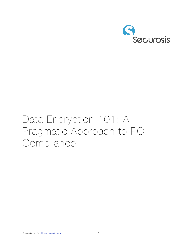

# Data Encryption 101: A Pragmatic Approach to PCI **Compliance**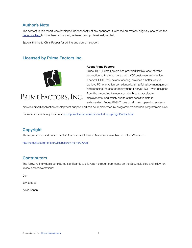### **Author's Note**

The content in this report was developed independently of any sponsors. It is based on material originally posted on the [Securosis blog](http://securosis.com) but has been enhanced, reviewed, and professionally edited.

Special thanks to Chris Pepper for editing and content support.

### **Licensed by Prime Factors Inc.**



### PRIME FACTORS, INC.

#### **About Prime Factors:**

Since 1981, Prime Factors has provided flexible, cost-effective encryption software to more than 1,000 customers world-wide. EncryptRIGHT, their newest offering, provides a better way to achieve PCI encryption compliance by simplifying key management and reducing the cost of deployment. EncryptRIGHT was designed from the ground up to meet security threats, accelerate deployments, and satisfy auditors that sensitive data is safeguarded. EncryptRIGHT runs on all major operating systems,

provides broad application development support and can be implemented by programmers and non-programmers alike.

For more information, please visit [www.primefactors.com/products/EncryptRight/index.html](http://www.primefactors.com/products/EncryptRight/index.html).

### **Copyright**

This report is licensed under Creative Commons Attribution-Noncommercial-No Derivative Works 3.0.

<http://creativecommons.org/licenses/by-nc-nd/3.0/us/>

### **Contributors**

The following individuals contributed significantly to this report through comments on the Securosis blog and follow-on review and conversations:

Dan

Jay Jacobs

Kevin Kenan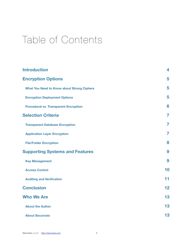### Table of Contents

| <b>Introduction</b>                               | 4              |
|---------------------------------------------------|----------------|
| <b>Encryption Options</b>                         | 5              |
| <b>What You Need to Know about Strong Ciphers</b> | 5              |
| <b>Encryption Deployment Options</b>              | 5              |
| <b>Procedural vs. Transparent Encryption</b>      | 6              |
| <b>Selection Criteria</b>                         | $\overline{7}$ |
| <b>Transparent Database Encryption</b>            | 7              |
| <b>Application Layer Encryption</b>               | 7              |
| <b>File/Folder Encryption</b>                     | 8              |
| <b>Supporting Systems and Features</b>            | 9              |
| <b>Key Management</b>                             | 9              |
| <b>Access Control</b>                             | 10             |
| <b>Auditing and Verification</b>                  | 11             |
| <b>Conclusion</b>                                 | 12             |
| <b>Who We Are</b>                                 | 13             |
| <b>About the Author</b>                           | 13             |
| <b>About Securosis</b>                            | 13             |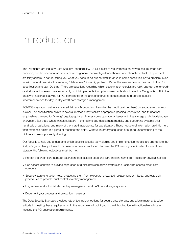### <span id="page-3-0"></span>Introduction

The Payment Card Industry Data Security Standard (PCI-DSS) is a set of requirements on how to secure credit card numbers, but the specification serves more as general technical guidance than an operational checklist. Requirements are fairly general in nature, telling you what you *need to do* but not *how to do it*. In some cases this isn't a problem, such as with network security. For securing "data at rest", it's a big problem. It's not like we can point a merchant to the PCI specification and say "Do that." There are questions regarding which security technologies are *really* appropriate for credit card storage, but even more importantly, which implementation options merchants should employ. Our goal is to fill in the gaps with actionable advice for PCI compliance in the area of encrypted data storage, and provide specific recommendations for day-to-day credit card storage & management.

PCI-DSS says you must render stored Primary Account Numbers (i.e. the credit card numbers) unreadable — that much is clear. The specification points to several methods they feel are appropriate (hashing, encryption, and truncation), emphasizes the need for "strong" cryptography, and raises some operational issues with key storage and disk/database encryption. But that's where things fall apart — the technology, deployment models, and supporting systems offer hundreds of variations, and many of them are inappropriate for *any* situation. These nuggets of information are little more than reference points in a game of "connect the dots", without an orderly sequence or a good understanding of the picture you are supposedly drawing.

Our focus is to help you understand which specific security technologies and implementation models are appropriate, but first, let's get a clear picture of what needs to be accomplished. To meet the PCI security specification for credit card storage, the following objectives must be met:

- Protect the credit card number, expiration date, service code and card-holders name from logical or physical access.
- Use access controls to provide separation of duties between administrators and users who access credit card numbers.
- Securely store encryption keys, protecting them from exposure, unwanted replacement or misuse, and establish procedures to provide 'dual control' over key management.
- Log access and administration of key management and PAN data storage systems.
- Document your process and protection measures.

The Data Security Standard provides lots of technology options for secure data storage, and allows merchants wide latitude in meeting these requirements. In this report we will point you in the right direction with actionable advice on meeting the PCI encryption requirements.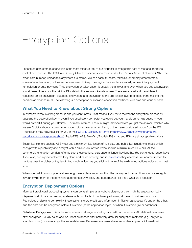### <span id="page-4-0"></span>Encryption Options

For secure data storage encryption is the most effective tool at our disposal. It safeguards data at rest and improves control over access. The PCI Data Security Standard specifies you must render the Primary Account Number (PAN - the credit card number) unreadable anywhere it is stored. We can hash, truncate, tokenize, or employ other forms of *irreversible* obfuscation, but we sometimes need to keep the original data and occasionally access it for payment remediation or auto-payment. Thus encryption or tokenization is usually the answer, and even when you use tokenization you still need to encrypt the original PAN data in the secure token database. There are at least a dozen different variations on file encryption, database encryption, and encryption at the application layer to choose from, making the decision as clear as mud. The following is a description of available encryption methods, with pros and cons of each.

#### <span id="page-4-1"></span>**What You Need to Know about Strong Ciphers**

In layman's terms, a strong cipher is one you can't break. That means if you try to reverse the encryption process by guessing the decryption key — even if you used every computer you could get your hands on to help guess — you would not find it during your lifetime — or many lifetimes. The sun might implode before you got the answer, which is why we aren't picky about choosing one modern cipher over another. Plenty of them are considered 'strong' by the PCI Council and they provide a list for you in the [PCI DSS Glossary of Terms](https://www.pcisecuritystandards.org/security_standards/glossary.shtml) ([https://www.pcisecuritystandards.org/](https://www.pcisecuritystandards.org/security_standards/glossary.shtml) [security\\_standards/glossary.shtml](https://www.pcisecuritystandards.org/security_standards/glossary.shtml)). Triple-DES, AES, Blowfish, Twofish, ElGamal, and RSA are all acceptable options.

Secret key ciphers such as AES must use a minimum key length of 128 bits, and public key algorithms (those which encrypt with a public key and decrypt with a private key, or vice-versa) require a minimum of 1024 bits. All the commercial encryption vendors offer at least these options, plus optional longer key lengths. You can choose longer keys if you wish, but in practical terms they don't add much security, and in [rare cases](http://en.wikipedia.org/wiki/Advanced_Encryption_Standard) they offer less. Yet another reason to not fuss over the cipher or key length too much as long as you stick with one of the well-vetted options included in most tools.

When you boil it down, cipher and key length are *far* less important than the deployment model. How you use encryption in your environment is the dominant factor for security, cost, and performance, so that's what we'll focus on.

#### <span id="page-4-2"></span>**Encryption Deployment Options**

Merchant credit card processing systems can be as simple as a website plug-in, or they might be a geographically dispersed set of data processing systems with hundreds of machines performing dozens of business functions. Regardless of size and complexity, these systems store credit card information in files or databases; it's one or the other. And the data can be encrypted before it is stored (at the application layer), or when it is stored (file or database).

**Database Encryption**: This is the most common storage repository for credit card numbers. All relational databases offer encryption, usually as an add-on. Most databases offer both very granular encryption methods (*e.g.,* only on a specific column) or can encrypt the entire database. Because databases stores redundant copies of information in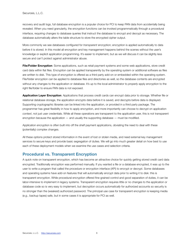recovery and audit logs, full database encryption is a popular choice for PCI to keep PAN data from accidentally being revealed. When you need granularity, the encryption functions can be invoked programmatically through a procedural interface, requiring changes to database queries that instruct the database to encrypt and decrypt as necessary. The database automatically alters the table structure to store the encrypted cipher output.

More commonly we see databases configured for *transparent* encryption; encryption is applied automatically to data before it is stored. In this model all encryption and key management happens behind the scenes without the user's knowledge or explicit application programming. It's easier to implement, but as we will discuss it can be slightly less secure and can't protect against administrator abuse.

**File/Folder Encryption**: Some applications, such as retail payment systems and some web applications, store credit card data within flat files. Encryption can be applied transparently by the operating system or additional software as files are written to disk. This type of encryption is offered as a third party add-on or embedded within the operating system. File/folder encryption can be applied to database files and directories as well, so the database contents are encrypted without any changes to the application or database. It's up to the local administrator to *properly* apply encryption to the right file/folder to ensure PAN data is not exposed.

**Application Layer Encryption**: Applications that process credit cards can encrypt data prior to storage. Whether file or relational database storage, the application encrypts data before it is saved, and decrypts before data is displayed. Supporting cryptographic libraries can be linked into the application, or provided in a third party package. The programmer has great flexibility in how to apply encryption, and more importantly can choose to decrypt on application *context*, not just user credentials. While all these operations are transparent to the application user, this is not transparent encryption because the application — and usually the supporting database — must be modified.

Application encryption is often built into off the shelf payment applications, obviating the need to deal with these (potentially) complex changes.

All these options protect stored information in the event of lost or stolen media, and need external key management services to secure keys and provide basic segregation of duties. We will go into much greater detail on how best to use each of these deployment models when we examine the use cases and selection criteria.

#### <span id="page-5-0"></span>**Procedural vs. Transparent Encryption**

A quick note on transparent encryption, which has become an attractive choice for quickly getting stored credit card data encrypted. Traditionally encryption was performed manually. If you wanted a file or a database encrypted, it was up to the user to write a program that called the procedure or encryption interface (API) to encrypt or decrypt. Some databases and operating systems have add-on features that will automatically encrypt data prior to writing it to disk: this is transparent encryption. While procedural encryption offered fine-grained control and good separation of duties, it can be labor-intensive to implement in legacy systems. Transparent encryption requires little or no changes to the application or database code so is very easy to implement, but decryption occurs *automatically* for authorized accounts so security is no stronger than the (weakest) authorized password. The principal use case for transparent encryption is keeping media (*e.g.,* backup tapes) safe, but in some cases it is appropriate for PCI as well.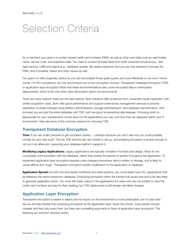### <span id="page-6-0"></span>Selection Criteria

As a merchant your goal is to protect stored credit card numbers (PAN), as well as other card data such as card-holder name, service code, and expiration date. You need to protect all these fields from both unwanted physical (*e.g.,* disk, tape backup, USB) and logical (*e.g.,* database queries, file reads) inspection (but you are only required to encrypt the PAN). And if possible, detect and stop misuse as well.

Our goal is to offer pragmatic advice so you can accomplish those goals quickly and cost-effectively so we won't mince words. For PCI compliance, we only recommend one of two encryption choices: Transparent Database Encryption (TDE) or application layer encryption (Note that these recommendations also cover encrypted data in tokenization deployments, which is the only other data obfuscation option we recommend).

There are many reasons these are the best options. Both solutions offer protection from unwanted media inspection, with similar acquisition costs. Both offer good performance and support external key management services to provide separation of duties between local platform administrators, storage administrators, and database administrators. And provided you encrypt the entire database with TDE, both are good at preventing data leakage. Choosing which is appropriate for your requirements comes down to the applications you use, and how they are deployed within your IT environment. Here are some of the common reasons for choosing TDE:

#### <span id="page-6-1"></span>**Transparent Database Encryption**

**Time:** If you are under pressure to get compliant quickly — perhaps because you can't see how you could possibly comply by your next audit. The key TDE services are very simple to set up, and enabling encryption is simple enough to roll out in an afternoon, assuming your database platform supports it.

**Modifying Legacy Applications:** Legacy applications are typically complex in function and design. Most do not consolidate communication with the database, rather they scatter thousands of queries throughout the application. To implement application layer encryption requires code changes everywhere data is written to storage, and is likely to cause effects and 'bugs'. Transparent encryption avoids modification to the application or database.

Application Sprawl: As with hub-and-spoke workflows and retail systems, you could easily have 20+ applications that all reference the same transaction database. Employing encryption within the central hub saves time and is far less likely to generate application errors. You must still mask output in the applications for users who are not entitled to view the credit card numbers and pay for that masking, but TDE deployment is still simpler and likely cheaper.

### <span id="page-6-2"></span>**Application Layer Encryption**

Transparent encryption is easier to deploy and its impact on the environment is more predictable, but it is also less secure and less flexible than employing encryption at the application layer. Given the choice, most people choose cheaper and less risky every time, but there are compelling arguments in favor of application layer encryption. The following are common decision points: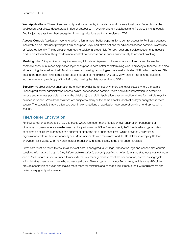Web Applications: These often use multiple storage media, for relational and non-relational data. Encryption at the application layer allows data storage in files or databases — even to different databases and file types simultaneously. And it's just as easy to embed encryption in *new* applications as it is to implement TDE.

**Access Control**: Application layer encryption offers a much better opportunity to control access to PAN data because it inherently de-couples user privileges from encryption keys, and offers options for advanced access controls, biometrics or federated identity. The application can require additional credentials (for both user and service accounts) to access credit card information; this provides more control over access and reduces susceptibility to account hijacking.

**Masking**: The PCI specification requires masking PAN data displayed to those who are not authorized to see the complete account number. Application layer encryption is both better at determining who is properly authorized, and also at performing the masking itself. Most commercial masking technologies use a method called 'ETL' which *replaces* PAN data in the database, and complicates secure storage of the original PAN data. View-based masks in the database require an unencrypted copy of the PAN data, making the data accessible to DBAs.

**Security:** Application layer encryption potentially provides better security: there are fewer places where the data is unencrypted, fewer administrative access points, better access controls, more contextual information to determine misuse and one less possible platform (the database) to exploit. Application layer encryption allows for multiple keys to be used in parallel. While both solutions are subject to many of the same attacks, application layer encryption is more secure. The caveat is that we often see poor implementations of application level encryption which end up reducing security.

### <span id="page-7-0"></span>**File/Folder Encryption**

For PCI compliance there are a few use cases where we recommend file/folder-level encryption, transparent or otherwise. In cases where a smaller merchant is performing a PCI self assessment, file/folder-level encryption offers considerable flexibility. Merchants can encrypt at either the file or database level, which provides uniformity in organizations with multiple database types. Most merchants with mainframe and flat file databases employ file level encryption as it works with their architectural model and, in some cases, is the only option available.

Great care must be taken to ensure all relevant data is encrypted; audit logs, transaction logs and cached files contain sensitive information. *It's up to the platform administrator to correctly apply encryption to ensure data does not leak from one of these sources.* You will need to use external key management to meet the specification, as well as segregate administrative users from those who access card data. File encryption is not our first choice, as it is more difficult to provide separation of duties and leaves more room for mistakes and mishaps, but it meets the PCI requirements and delivers very good performance.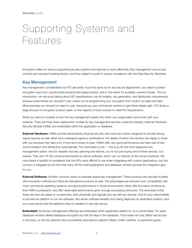# <span id="page-8-0"></span>Supporting Systems and Features

Encryption relies on various supporting security systems and features to work effectively. Key management and access controls are important building blocks, and thus subject to audit to ensure compliance with the Data Security Standard.

#### <span id="page-8-1"></span>**Key Management**

Key management considerations for PCI are pretty much the same as for any secure deployment: you need to protect encryption keys from unauthorized physical and logical access; and to the extent it's possible, prevent misuse. Per our introduction, we will avoid talking about ISO specifications, key bit lengths, key generation, and distribution requirements, because quite frankly you shouldn't care unless you're programming your encryption from scratch (a *really bad idea*). More precisely you should not *need to* care, because you pay commercial vendors to get these details right. PCI drives a large amount of encryption product sales, so the majority of tools evolved to meet PCI requirements.

What you want to consider is how the key management system fits within your organization and works with your systems. There are three basic deployment models for key management services; external software, external Hardware Security Module (HSM), and embedded within the application or database.

**External Hardware:** HSMs provide extraordinary physical security, and most are custom-designed to provide strong logical security as well. Most have undergone rigorous certifications, the details of which the vendors are happy to share with you because they take a lot of time and money to pass. HSMs offer very good performance and take care of key synchronization and distribution automatically. The downside is cost — this is by far the most expensive key management option. And for disaster recovery planning and failover, you're not just buying one of these devices, but several. They don't fit into virtual environments as well as software, which can run directly on the virtual machines. We have heard a handful of complaints that the APIs were difficult to use when integrating with custom applications, but this concern is mitigated by the fact that many off-the-shelf applications and database vendors provide the integration glue for you.

**External Software:** Another common option is software-based key management. These products are typically bundled with encryption software but there are standalone products as well. The advantages are reduced cost, compatibility with most commercial operating systems, and good performance in virtual environments. Most offer the same functions as their HSM counterparts, and offer reasonable performance given enough processing resources. The downside is that these services are easier to compromise, both physically and logically (but are still very secure). And it's your responsibility to provide the platform to run the software. Key server software benefits from being deployed on dedicated systems, and you must ensure that the platforms they're installed on are fully secure.

**Embedded:** Some key management offerings are embedded within application platforms: try to avoid these. For years database vendors offered database encryption but left the keys in the database. That meant not only DBAs had access to the keys, so did any attacker who successfully executed an injection attack, buffer overflow, or password guess.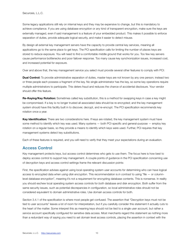Some legacy applications still rely on internal keys and they may be expensive to change, but this is mandatory to achieve compliance. If you are using database encryption or *any* kind of transparent encryption, make sure the keys are externally managed, even if said management is a feature of your embedded product. This makes it possible to enforce separation of duties, provide adequate logical security, and make it easier to detect misuse.

By design all external key management servers have the capacity to provide central key services, meaning all applications go to the same place to get keys. The PCI specification calls for limiting the number of places keys are stored to reduce exposure. You will need to find a comfortable middle ground that works for you. Too few key servers cause performance bottlenecks and poor failover response. Too many cause key synchronization issues, increased cost, and increased potential for exposure.

Over and above that, the key management service you select must provide several other features to comply with PCI:

**Dual Control:** To provide administrative separation of duties, master keys are not known by any one person; instead two or three people each possess a fragment of the key. No single administrator has the key, so some key operations require multiple administrators to participate. This deters fraud and reduces the chance of accidental disclosure. Your vendor should offer this feature.

**Re-Keying/Key Rotation:** Sometimes called key substitution, this is a method for swapping keys in case a key might be compromised. If a key is no longer trusted all associated data should be re-encrypted; and the key management system should have this facility built in to discover, decrypt, and re-encrypt. The PCI specification recommends key rotation once a year.

**Key Identification:** There are two considerations here. If keys are rotated, the key management system must have some method to identify which key was used. Many systems — both PCI-specific and general-purpose — employ key rotation on a regular basis, so they provide a means to identify which keys were used. Further, PCI requires that key management systems detect key substitutions.

Each of these features is required, and you will need to verify that they meet your expectations during an evaluation.

#### <span id="page-9-0"></span>**Access Control**

Key management protects keys, but access control determines who gets to use them. The focus here is how best to deploy access control to support key management. A couple points of guidance in the PCI specification concerning use of decryption keys and access control settings frame the relevant discussion points:

First, the specification advises against using local operating system user accounts for determining who can have logical access to encrypted data *when using disk encryption*. This recommendation is *in contrast* to using "file — or columnlevel database encryption", meaning it's not a requirement for encrypting database contents. This is nonsense. In reality you should eschew local operating system access controls for *both* database and disk encryption. Both suffer from the same security issues, such as potential discrepancies in configuration, so local administrative roles should not be considered equivalent to domain administrative roles. Use domain access controls for both.

Section 3.4.1 of the specification is where most people get confused. The assertion that "Decryption keys must not be tied to user accounts" leaves a lot of room for interpretation, but if you carefully consider this statement it actually cuts to the heart of the matter. Some interpret this as meaning keys should not be tied to a single user account, but rather a *service* account specifically configured for sensitive data access. Most merchants regard this statement as nothing more than a redundant way of saying you need to set domain level access controls, placing the assertion in context with the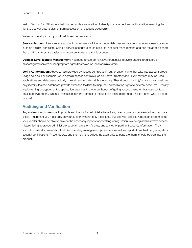rest of Section 3.4. Still others feel this demands a separation of identity management and authorization, meaning the right to decrypt data is distinct from possession of account credentials.

We recommend you comply with all three interpretations:

**Service Account:** Use a service account that requires additional credentials over and above what normal users provide, such as a digital certificate. Using a service account is much easier for account management, and has the added benefit that auditing chores are easier when you can focus on a single account.

**Domain-Level Identity Management:** You need to use domain level credentials to avoid attacks predicated on misconfigured servers or inappropriate rights bestowed on local administrators.

**Verify Authorization:** Above what's provided by access control, verify authorization rights that take into account proper usage policies. For example, while domain access controls such as Active Directory and LDAP services may be used, applications and databases typically maintain authorization rights internally. They do not inherit *rights* from the domain only identity. Instead databases provide extensive facilities to map their authorization rights to external accounts. Similarly, implementing encryption at the application layer has the inherent benefit of gating access based on business context: data is decrypted only when it makes sense in the context of the function being performed. This is a great way to detect misuse!

### <span id="page-10-0"></span>**Auditing and Verification**

Any system you choose should provide audit logs of all administrative activity, failed logins, and system failure. If you are a Tier 1 merchant you must provide your auditor with not only these logs, but also with specific reports on system setup. Your vendor should be able to provide the necessary reports for checking configuration, reviewing administrative access history, listing approved administrators, detailing system failures, and any other pertinent security information. They should provide documentation that discusses key management processes, as well as reports from third party analysts or security certifications. These reports, and the means to collect the audit data to populate them, should be built into the product.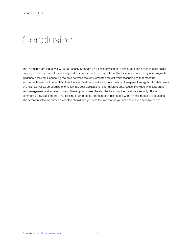### <span id="page-11-0"></span>Conclusion

The Payment Card Industry (PCI) Data Security Standard (DSS) was developed to encourage and enhance card-holder data security, but in order to succinctly address diverse audiences on a breadth of security topics, clarity and pragmatic guidance is lacking. Connecting the dots between the requirements and real world technologies that meet the requirements need not be as difficult as the specification would lead you to believe. Transparent encryption for databases and files, as well as embedding encryption into your applications, offer different advantages. Provided with supporting key management and access controls, these options meet the standard *and* provide good data security. All are commercially available to drop into existing environments, and can be implemented with minimal impact to operations. The common selection criteria presented should arm you with the information you need to make a sensible choice.